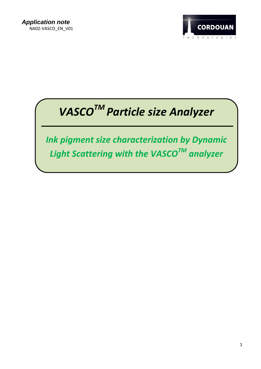

# *VASCOTM Particle size Analyzer*

*Ink pigment size characterization by Dynamic Light Scattering with the VASCOTM analyzer*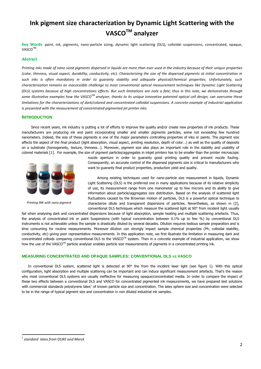# **Ink pigment size characterization by Dynamic Light Scattering with the VASCOTM analyzer**

**Key Words**: paint, ink, pigments, nano-particle sizing, dynamic light scattering (DLS), colloidal suspensions, concentrated, opaque, VASCO<sup>™</sup>.

## *Abstract*

*Printing inks made of nano sized pigments dispersed in liquids are more than ever used in the industry because of their unique properties (color, thinness, visual aspect, durability, conductivity, etc). Characterizing the size of the dispersed pigments at initial concentration in such inks is often mandatory in order to guaranty stability and adequate physical/chemical properties. Unfortunately, such characterization remains an inaccessible challenge to most conventional optical measurement techniques like Dynamic Light Scattering (DLS) systems because of high concentrations effects. But such limitations are note a fate; thus in this note, we demonstrate through some illustrative examples how the VASCOTM analyzer, thanks to its unique innovative patented optical cell design, can overcome these limitations for the characterizations of dark/colored and concentrated colloidal suspensions. A concrete example of industrial application is presented with the measurement of concentrated pigmented jet printer inks.*

# **INTRODUCTION**

Since recent years, ink industry is putting a lot of efforts to improve the quality and/or create new properties of ink products. These manufacturers are producing ink and paint incorporating smaller and smaller pigments particles, some not exceeding few hundred nanometers. Indeed, the size of these pigments is one of the major parameters controlling properties of inks or paints. The pigment size affects the aspect of the final product (light absorption, visual aspect, printing resolution, depth of color…) as well as the quality of deposits on a substrate (homogeneity, texture, thinness…). Moreover, pigment size also plays an important role in the stability and usability of colored materials [1]. For example, the size of pigment particles/aggregates in inkiet printers has to be smaller than the printer microscopic



*Printing INK with nano pigment*

nozzle aperture in order to guaranty good printing quality and prevent nozzle fouling. Consequently, an accurate control of the dispersed pigments size is critical to manufacturers who want to guaranty final product properties, production yield and quality.

Among existing techniques used for nano-particle size measurement in liquids, Dynamic Light Scattering (DLS) is the preferred one in many applications because of its relative simplicity of use, its measurement range from one manometer up to few microns and its ability to give information about particle/aggregates size distribution. Based on the analysis of scattered light fluctuations caused by the Brownian motion of particles, DLS is a powerful optical technique to characterize dilute and transparent dispersions of particles. Nevertheless, as shown in [2], conventional DLS techniques which measure the scattered light at 90° from incident light usually

fail when analysing dark and concentrated dispersions because of light absorption, sample heating and multiple scattering artefacts. Thus, the analysis of concentrated ink or paint Suspensions (with typical concentration between 0.1% up to few %) by conventional DLS instruments is not achievable unless the sample is drastically diluted by several decades. Dilution requires tedious sample preparation and is time consuming for routine measurements. Moreover dilution can strongly impact sample chemical properties (Ph, colloidal stability, conductivity, etc) giving poor representative measurements. In this application note, we first illustrate the limitation in measuring dark and concentrated colloids comparing conventional DLS to the VASCO<sup>TM</sup> system. Then in a concrete example of industrial application, we show how the use of the VASCO™ particle analyser enables particle size measurements of pigments in a concentrated printing ink.

# **MEASURING CONCENTRATED AND OPAQUE SAMPLES: CONVENTIONAL DLS VS VASCO**

In conventional DLS system, scattered light is detected at 90° the from the incident laser light (see figure 1). With this optical configuration, light absorption and multiple scattering can be important and can induce significant measurement artefacts. That's the reason why most conventional DLS systems are usually ineffective for measuring opaque/concentrated media. In order to compare the impact of these two effects between a conventional DLS and VASCO for concentrated pigmented ink measurements, we have prepared test solutions with commercial standards polystyrene latex<sup>1</sup> of known particle size and concentration. The latex sphere size and concentration were selected to be in the range of typical pigment size and concentration in non diluted industrial ink samples.

 $\overline{a}$ 

<sup>1</sup> *standard latex from DUKE and Merck*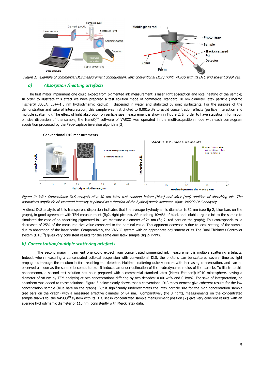

Figure 1: example of commercial DLS measurement configuration; left: conventional DLS ; right: VASCO with its DTC and solvent proof cell*.* 

# *a) Absorption /heating artefacts*

The first major impairment one could expect from pigmented ink measurement is laser light absorption and local heating of the sample; In order to illustrate this effect we have prepared a test solution made of commercial standard 30 nm diameter latex particle (Thermo Fischer® 3030A, 33+/-1.5 nm hydrodynamic Radius) dispersed in water and stabilized by ionic surfactants. For the purpose of the demonstration and sake of interpretation, this sample was first diluted to 0.001wt% to avoid concentration effects (particle interaction and multiple scattering). The effect of light absorption on particle size measurement is shown in Figure 2. In order to have statistical information on size dispersion of the sample, the NanoQ<sup>TM</sup> software of VASCO was operated in the multi-acquisition mode with each correlogram acquisition processed by the Pade-Laplace inversion algorithm [3]



Figure 2: left : Conventional DLS analysis of a 30 nm latex test solution before (blue) and after (red) addition of absorbing ink. The normalized amplitude of scattered intensity is plotted as a function of the hydrodynamic diameter. right: VASCO DLS analysis;

A direct DLS analysis of this transparent dispersion indicates that the average hydrodynamic diameter is 32 nm (see fig 2, blue bars on the graph), in good agreement with TEM measurement (fig2, right picture). After adding 10wt% of black and soluble organic ink to the sample to simulated the case of an absorbing pigmented ink, we measure a diameter of 24 nm (fig 2, red bars on the graph); This corresponds to a decreased of 25% of the measured size value compared to the nominal value. This apparent decrease is due to local heating of the sample due to absorption of the laser probe. Comparatively, the VASCO system with an appropriate adjustment of its The Dual Thickness Controller system ( $DTC^{TM}$ ) gives very consistent results for the same dark latex sample (fig 2- right).

# *b) Concentration/multiple scattering artefacts*

The second major impairment one could expect from concentrated pigmented ink measurement is multiple scattering artefacts. Indeed, when measuring a concentrated colloidal suspension with conventional DLS, the photons can be scattered several time as light propagates through the medium before reaching the detector. Multiple scattering quickly occurs with increasing concentration, and can be observed as soon as the sample becomes turbid. It induces an under-estimation of the hydrodynamic radius of the particle. To illustrate this phenomenon, a second test solution has been prepared with a commercial standard latex (Merck Estapor® K010 microsphere, having a diameter of 98 nm by TEM analysis) at two concentrations differing by two decades: 0.001wt% and 0.1wt%. For sake of interpretation, no absorbent was added to these solutions. Figure 3 below clearly shows that a conventional DLS measurement give coherent results for the low concentration sample (blue bars on the graph). But it significantly underestimates the latex particle size for the high concentration sample (red bars on the graph) with a measured effective diameter of 84 nm. Comparatively (fig 3 right), measurements on the concentrated sample thanks to the VASCO™ system with its DTC set in concentrated sample measurement position [2] give very coherent results with an average hydrodynamic diameter of 115 nm, consistently with Merck latex data.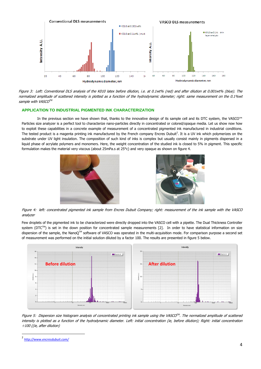

Figure 3: Left: Conventional DLS analysis of the K010 latex before dilution, i.e. at 0.1wt% (red) and after dilution at 0.001wt% (blue). The normalized amplitude of scattered intensity is plotted as a function of the hydrodynamic diameter; right: same measurement on the 0.1%wt sample with VASCO™

# **APPLICATION TO INDUSTRIAL PIGMENTED INK CHARACTERIZATION**

In the previous section we have shown that, thanks to the innovative design of its sample cell and its DTC system, the VASCO™ Particles size analyzer is a perfect tool to characterize nano-particles directly in concentrated or colored/opaque media. Let us show now how to exploit these capabilities in a concrete example of measurement of a concentrated pigmented ink manufactured in industrial conditions. The tested product is a magenta printing ink manufactured by the French company Encres Dubuit<sup>2</sup>. It is a UV ink which polymerizes on the substrate under UV light insulation. The composition of such kind of inks is complex but usually consist mainly in pigments dispersed in a liquid phase of acrylate polymers and monomers. Here, the weight concentration of the studied ink is closed to 5% in pigment. This specific formulation makes the material very viscous (about 25mPa.s at 25°c) and very opaque as shown on figure 4.





Figure 4: left: concentrated pigmented ink sample from Encres Dubuit Company; right: measurement of the ink sample with the VASCO analyzer

Few droplets of the pigmented ink to be characterized were directly dropped into the VASCO cell with a pipette. The Dual Thickness Controller system ( $DTC^{TM}$ ) is set in the down position for concentrated sample measurements [2]. In order to have statistical information on size dispersion of the sample, the NanoO™ software of VASCO was operated in the multi-acquisition mode. For comparison purpose a second set of measurement was performed on the initial solution diluted by a factor 100. The results are presented in figure 5 below.



Figure 5: Dispersion size histogram analysis of concentrated printing ink sample using the VASCO™. The normalized amplitude of scattered intensity is plotted as a function of the hydrodynamic diameter. Left: initial concentration (ie, before dilution); Right: initial concentration ÷100 ((ie, after dilution)

 $\overline{a}$ 

<sup>2</sup> *<http://www.encresdubuit.com/>*